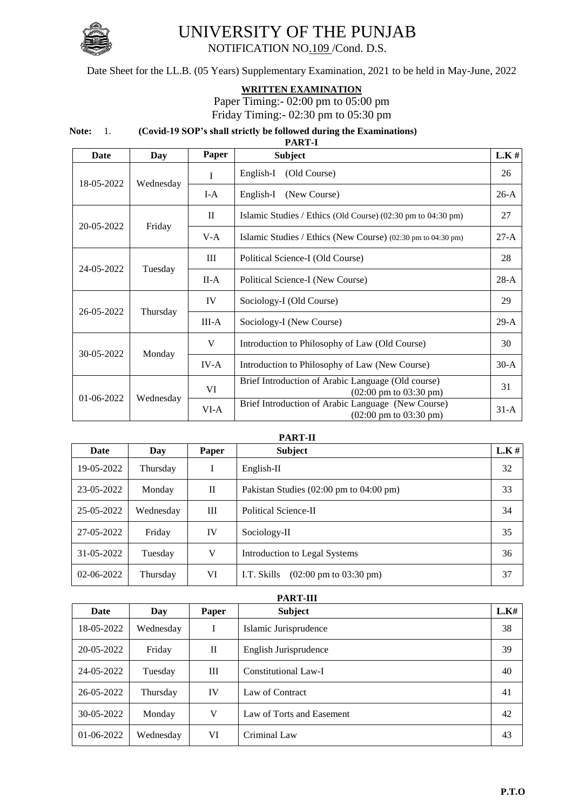

## UNIVERSITY OF THE PUNJAB

NOTIFICATION NO.109 /Cond. D.S.

Date Sheet for the LL.B. (05 Years) Supplementary Examination, 2021 to be held in May-June, 2022

## **WRITTEN EXAMINATION**

Paper Timing:- 02:00 pm to 05:00 pm Friday Timing:- 02:30 pm to 05:30 pm

## **Note:** 1. **(Covid-19 SOP's shall strictly be followed during the Examinations) PART-I**

| Date       | Day       | Paper    | <b>Subject</b>                                                                                  | $L.K$ # |
|------------|-----------|----------|-------------------------------------------------------------------------------------------------|---------|
| 18-05-2022 | Wednesday | I        | (Old Course)<br>English-I                                                                       | 26      |
|            |           | $I-A$    | English-I<br>(New Course)                                                                       | $26-A$  |
| 20-05-2022 | Friday    | $\rm II$ | Islamic Studies / Ethics (Old Course) (02:30 pm to 04:30 pm)                                    | 27      |
|            |           | $V-A$    | Islamic Studies / Ethics (New Course) (02:30 pm to 04:30 pm)                                    | $27-A$  |
| 24-05-2022 | Tuesday   | III      | Political Science-I (Old Course)                                                                | 28      |
|            |           | $II-A$   | Political Science-I (New Course)                                                                | $28-A$  |
| 26-05-2022 | Thursday  | IV       | Sociology-I (Old Course)                                                                        | 29      |
|            |           | $III-A$  | Sociology-I (New Course)                                                                        | $29-A$  |
| 30-05-2022 | Monday    | V        | Introduction to Philosophy of Law (Old Course)                                                  | 30      |
|            |           | IV-A     | Introduction to Philosophy of Law (New Course)                                                  | $30-A$  |
| 01-06-2022 | Wednesday | VI       | Brief Introduction of Arabic Language (Old course)<br>$(02:00 \text{ pm to } 03:30 \text{ pm})$ | 31      |
|            |           | VI-A     | Brief Introduction of Arabic Language (New Course)<br>$(02:00 \text{ pm to } 03:30 \text{ pm})$ | $31-A$  |

## **PART-II**

| Date             | Day       | Paper | <b>Subject</b>                                             | L.K# |
|------------------|-----------|-------|------------------------------------------------------------|------|
| 19-05-2022       | Thursday  |       | $English-II$                                               | 32   |
| 23-05-2022       | Monday    | П     | Pakistan Studies $(02:00 \text{ pm to } 04:00 \text{ pm})$ | 33   |
| 25-05-2022       | Wednesday | III   | Political Science-II                                       | 34   |
| 27-05-2022       | Friday    | IV    | Sociology-II                                               | 35   |
| 31-05-2022       | Tuesday   | V     | Introduction to Legal Systems                              | 36   |
| $02 - 06 - 2022$ | Thursday  | VI    | $(02:00 \text{ pm to } 03:30 \text{ pm})$<br>I.T. Skills   | 37   |

| <b>PART-III</b>  |           |              |                           |      |
|------------------|-----------|--------------|---------------------------|------|
| Date             | Day       | Paper        | <b>Subject</b>            | L.K# |
| 18-05-2022       | Wednesday |              | Islamic Jurisprudence     | 38   |
| $20-05-2022$     | Friday    | $\mathbf{I}$ | English Jurisprudence     | 39   |
| 24-05-2022       | Tuesday   | Ш            | Constitutional Law-I      | 40   |
| $26 - 05 - 2022$ | Thursday  | IV           | Law of Contract           | 41   |
| 30-05-2022       | Monday    | V            | Law of Torts and Easement | 42   |
| $01-06-2022$     | Wednesday | VI           | Criminal Law              | 43   |